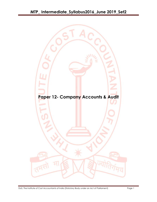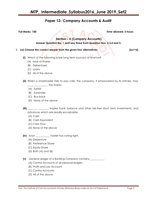## **Paper 12- Company Accounts & Audit**

**Full Marks: 100 Time allowed: 3 hours**

**Section – A (Company Accounts)**

**Answer Question No. 1 and any three from Question Nos. 2,3,4 and 5.**

### 1. (a) Choose the correct answer from the given four alternatives: [6x1=6]

- **(i)** Which of the following is/are long term source/s of finance?
	- (A) Issue of Shares
	- (B) Debentures
	- (C) Loans
	- (D) All of the above
- **(ii)** When a shareholder fails to pay calls, the company, if empowered by its articles, may  $\_$  the shares.
	- (A) Forfeit
	- (B) Surrender
	- (C) Buy-back
	- (D) None of the above

### **(iii)** \_\_\_\_\_\_\_ \_\_\_\_\_\_\_\_ implies bank balance and other risk-free short term investments, and advances which are readily encashable.

- (A) Cash
- (B) Cash Equivalent
- (C) Cash Flow
- (D) None of the above
- **(iv)** A/an \_\_\_\_\_\_\_\_\_\_\_ holder has voting right.
	- (A) Debenture
	- (B) Preference Share
	- (C) Equity Share
	- (D) Both (A) and (B)

### **(v)** General Ledger of a Banking Company contains\_\_\_\_\_\_\_\_\_\_\_\_

- (A) Control Accounts of all personal ledgers
- (B) Profit and Loss Account
- (C) Contra Accounts
- (D) All of the above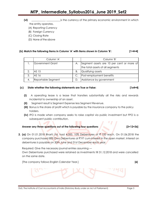## **MTP\_ Intermediate\_Syllabus2016\_June 2019\_Set2**

**(vi)** *u* **i**  $\mathbf{v}$  is the currency of the primary economic environment in which

- the entity operates.
- (A) Reporting Currency
- (B) Foreign Currency
- (C) Closing Rate
- (D) None of the above

### **(b) Match the following items in Column 'A' with items shown in Column 'B': [1×4=4]**

|    | Column 'A'         |    | Column 'B'                                |
|----|--------------------|----|-------------------------------------------|
|    | Government Grant   | А. | Segment assets are 10 per cent or more of |
|    |                    |    | the total assets of all segments          |
|    | AS 15              | Β. | Qualifying assets                         |
| 3. | AS 16              |    | Post-employment benefits                  |
|    | Reportable Segment |    | Assistance by government                  |

### **(c) State whether the following statements are True or False: [1x4=4]**

- **(i)** A operating lease is a lease that transfers substantially all the risks and rewards incidental to ownership of an asset.
- **(ii)** Segment result is Segment Expense less Segment Revenue.
- **(iii)** Bonus is the share of profit which is payable by the insurance company to the policy holders.
- **(iv)** IPO is made when company seeks to raise capital via public investment but FPO is a subsequent public contribution.

### **Answer any three questions out of the following four questions [3×12=36]**

**2. (a)** On 01.01.2018 Bharti Ltd. had 4,000, 10% Debentures of ₹ 100 each. On 01.06.2018 the company purchased 800 Own Debentures at  $\bar{\tau}$  97 cum-interest in the open market. Interest on debentures is payable on 30th June and 31st December each year.

Required: Give the necessary journal entries assuming —

Own Debentures purchased were retained as investments till 31.12.2018 and were cancelled on the same date.

[The company follows English Calendar Year.] **[6]**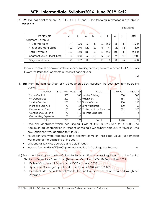**(b)** MM Ltd. has eight segments A, B, C, D, E, F, G and H. The following information is available in relation to

| Particulars                    | Α   | B     |      | D    | F   |      | G   | Н               | Total |
|--------------------------------|-----|-------|------|------|-----|------|-----|-----------------|-------|
| Segment Revenue                |     |       |      |      |     |      |     |                 |       |
| External Sales                 | Nil | 1,020 | 60   | 40   | 60  | 200  | 80  | 40              | ,600  |
| Inter-Segment Sales            | 400 | 240   | 1201 | 20   | Nil | Nil  | 20  | Nil             | 800   |
| <b>Total Revenue</b>           | 400 | ,260  | 180  | 60   | 60  | 200  | 100 | 40              | 2,400 |
| Segment Result - Profit (Loss) | 20  | (360) | 60   | (20) | 32  | (20) | 20  | 28 <sub>1</sub> | (240) |
| Segment Assets                 | 90  | 282   | 30   | 66   | 18  | 30   | 30  | 54              | 600   |

Identify which of the above constitute Reportable Segments, if you were informed that A, B, C and E were the Reported Segments in the last financial year.

**3. (a)** From the Balance Sheet of K Ltd as given below ascertain the cash flow from operating activity:

| Liabilities             |      | 31.03.2017 31.03.2018 | Assets                    | 31.03.2017 | 31.03.2018     |
|-------------------------|------|-----------------------|---------------------------|------------|----------------|
| <b>Share Capital</b>    | 500  |                       | 500 Land & Building       | 300        | 300            |
| 9% Debentures           | 200  |                       | 160 Machinery             | 164        | 180            |
| <b>Sundry Creditors</b> | 230  |                       | 216 Stock in Trade        | 200        | 228            |
| Profit and Loss A/c     | 40   |                       | 54 Sundry Debtors         | 170        | 162            |
| Depreciation Fund       | 80   |                       | 88 Cash and Bank Balances | 382        | 300            |
| Contingency Reserve     | 140  |                       | 110 Pre-Paid Expenses     |            | 6 <sup>1</sup> |
| Outstanding Expenses    | 30   | 48                    |                           |            |                |
| Total                   | .220 | 1,176                 | Total                     | ,220       | .176           |

- One old Machinery which has Original Cost of ₹30,000 was sold for ₹10,000. The Accumulated Depreciation in respect of the said Machinery amounts to  $\bar{\tau}16,000$ . One new Machinery was acquired for  $\bar{e}46,000$ .
- 9% Debentures were redeemed at a discount of 4% on their Face Value. (Redemption was made at the beginning of the year).
- Dividend at 12% was declared and paid in Cash.
- Income Tax Liability of `30,000 paid was debited in Contingency Reserve. **[8]**

 **[6]**

 $(5$  in Lakhs)

**(b)** From the following information Calculate Return on Equity as per Regulation 21 of the Central Electricity Regulatory Commission (Terms and Conditions of Tariff) Regulations, 2004:

- 1. Date of Commercial Operation of COD = 1st April 2010
- 2. Approved Opening Capital Cost as on 1st April 2010 =  $\overline{5}$  15,00,000
- 3. Details of allowed Additional Capital Expenditure. Repayment of Loan and Weighted Average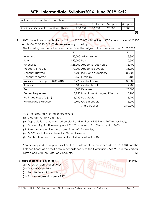# **MTP\_ Intermediate\_Syllabus2016\_June 2019\_Set2**

| Rate of Interest on Loan is as Follows   |           |          |          |          |
|------------------------------------------|-----------|----------|----------|----------|
|                                          | 1st year  | 2nd year | 3rd year | 4th vear |
| Additional Capital Expenditure (Allowed) | 000.000.1 | 30,000   | 20.000   | 10.000   |
|                                          |           |          |          |          |

4. ABC Limited has an authorized capital of ₹ 5,00,000 divided into 5000 equity shares of ₹ 100 each. On 31.03.2018, 2500 shares were fully called up.

|                                   | ₹              |                                   | ₹        |
|-----------------------------------|----------------|-----------------------------------|----------|
| Inventory                         |                | 50,000 Advertisement              | 3,800    |
| Sales                             | 4,50,000 Bonus |                                   | 10,500   |
| Purchases                         |                | 3,25,000 Accounts receivable      | 38,700   |
| Productive wages                  |                | 70,000 Accounts payable           | 35,200   |
| Discount allowed                  |                | 4,200 Plant and Machinery         | 80,500   |
| Discount received                 |                | 3,150 Furniture                   | 17,100   |
| Insurance (year up to 30.06.2018) |                | 6,720 Cash at bank                | 1,30,000 |
| Salaries                          |                | 18,500 Cash in hand               | 4,700    |
| Rent                              |                | 6,000 Reserves                    | 25,000   |
| General expenses                  |                | 8,950 Loan from Managing Director | 15,700   |
| Profit and Loss a/c (cr.)         |                | 6,220 Bad debts                   | 3,200    |
| Printing and Stationary           |                | 2,400 Calls in arrears            | 5,000    |
|                                   |                | Share capital                     | 2,50,000 |

The following are the balance extracted from the ledger of the company as on 31.03.2018:

Also the following information are given:

- (a) Closing inventory is ₹91,500;
- (b) Depreciation to be charged on plant and furniture at 15% and 10% respectively;
- (c) Outstanding liabilities—wages at  $\bar{t}$ 5,200, salaries at  $\bar{t}$ 1,200 and rent at  $\bar{t}$ 600;
- (d) Salesman are entitled to a commission of 1% on sales;
- (e)  $₹4,000$  are to be transferred to General reserves;
- (f) Dividend on paid up share capital is to be provided @ 5%.

You are required to prepare Profit and Loss Statement for the year ended 31.03.2018 and the Balance Sheet as on that date in accordance with the Companies Act, 2013 in the Vertical Form along with the Notes on Accounts. **[12]** 

### **5. Write short note (any three): 13×4=12**

- **(a)** Follow on public offer (FPO)
- **(b)** Types of Cash Flow;
- **(c)** Rebate on Bills Discounted;
- **(d)** Business segment as per AS 17.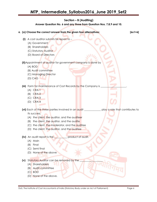### **Section – B (Auditing)**

**Answer Question No. 6 and any three from Question Nos. 7,8,9 and 10.**

- **6. (a) Choose the correct answer from the given four alternatives: [6x1=6] (i)** A cost auditor submits his report to – (A) Government (B) Shareholders (C) Statutory Auditor (D) Board of Directors **(ii)**Appointment of auditor for government company is done by (A) BOD (B) Audit committee (C) Managing Director (D) CAG **(iii)** Form for maintenance of Cost Records by the Company is (A) CRA-1 (B) CRA-2 (C) CRA-3 (D) CRA-4 **(vi)** Each of the three parties involved in an audit \_\_\_\_\_\_\_\_\_\_\_\_\_ play a role that contributes to its success. (A) the client, the auditor, and the auditeer (B) the client, the auditor, and the audite (C) the client, the moderator, and the auditee (D) the client, the auditor, and the auditee **(iv)** An audit report is the \_\_\_\_\_\_\_\_\_\_ product of audit. (A) Main (B) Final (C) Semi final
	- (D) None of the above
	- **(v)** Statutory Auditor can be removed by the \_\_\_\_\_\_\_\_\_\_\_\_\_\_\_\_\_\_
		- (A) Shareholders
		- (B) Audit committee
		- (C) BOD
		- (D) None of the above.